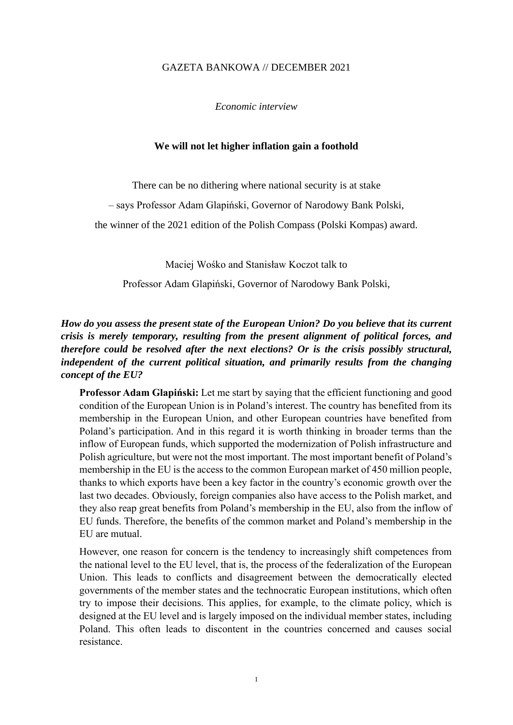#### GAZETA BANKOWA // DECEMBER 2021

*Economic interview*

#### **We will not let higher inflation gain a foothold**

There can be no dithering where national security is at stake

– says Professor Adam Glapiński, Governor of Narodowy Bank Polski,

the winner of the 2021 edition of the Polish Compass (Polski Kompas) award.

Maciej Wośko and Stanisław Koczot talk to

Professor Adam Glapiński, Governor of Narodowy Bank Polski,

#### *How do you assess the present state of the European Union? Do you believe that its current crisis is merely temporary, resulting from the present alignment of political forces, and therefore could be resolved after the next elections? Or is the crisis possibly structural, independent of the current political situation, and primarily results from the changing concept of the EU?*

**Professor Adam Glapiński:** Let me start by saying that the efficient functioning and good condition of the European Union is in Poland's interest. The country has benefited from its membership in the European Union, and other European countries have benefited from Poland's participation. And in this regard it is worth thinking in broader terms than the inflow of European funds, which supported the modernization of Polish infrastructure and Polish agriculture, but were not the most important. The most important benefit of Poland's membership in the EU is the access to the common European market of 450 million people, thanks to which exports have been a key factor in the country's economic growth over the last two decades. Obviously, foreign companies also have access to the Polish market, and they also reap great benefits from Poland's membership in the EU, also from the inflow of EU funds. Therefore, the benefits of the common market and Poland's membership in the EU are mutual.

However, one reason for concern is the tendency to increasingly shift competences from the national level to the EU level, that is, the process of the federalization of the European Union. This leads to conflicts and disagreement between the democratically elected governments of the member states and the technocratic European institutions, which often try to impose their decisions. This applies, for example, to the climate policy, which is designed at the EU level and is largely imposed on the individual member states, including Poland. This often leads to discontent in the countries concerned and causes social resistance.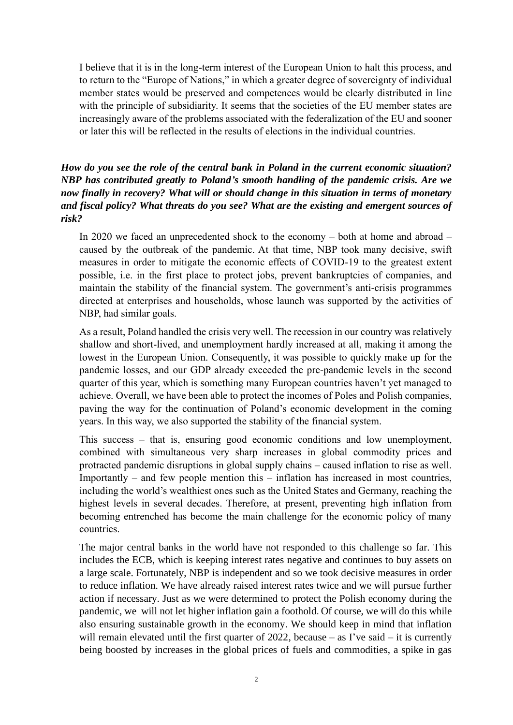I believe that it is in the long-term interest of the European Union to halt this process, and to return to the "Europe of Nations," in which a greater degree of sovereignty of individual member states would be preserved and competences would be clearly distributed in line with the principle of subsidiarity. It seems that the societies of the EU member states are increasingly aware of the problems associated with the federalization of the EU and sooner or later this will be reflected in the results of elections in the individual countries.

# *How do you see the role of the central bank in Poland in the current economic situation? NBP has contributed greatly to Poland's smooth handling of the pandemic crisis. Are we now finally in recovery? What will or should change in this situation in terms of monetary and fiscal policy? What threats do you see? What are the existing and emergent sources of risk?*

In 2020 we faced an unprecedented shock to the economy – both at home and abroad – caused by the outbreak of the pandemic. At that time, NBP took many decisive, swift measures in order to mitigate the economic effects of COVID-19 to the greatest extent possible, i.e. in the first place to protect jobs, prevent bankruptcies of companies, and maintain the stability of the financial system. The government's anti-crisis programmes directed at enterprises and households, whose launch was supported by the activities of NBP, had similar goals.

As a result, Poland handled the crisis very well. The recession in our country was relatively shallow and short-lived, and unemployment hardly increased at all, making it among the lowest in the European Union. Consequently, it was possible to quickly make up for the pandemic losses, and our GDP already exceeded the pre-pandemic levels in the second quarter of this year, which is something many European countries haven't yet managed to achieve. Overall, we have been able to protect the incomes of Poles and Polish companies, paving the way for the continuation of Poland's economic development in the coming years. In this way, we also supported the stability of the financial system.

This success – that is, ensuring good economic conditions and low unemployment, combined with simultaneous very sharp increases in global commodity prices and protracted pandemic disruptions in global supply chains – caused inflation to rise as well. Importantly – and few people mention this – inflation has increased in most countries, including the world's wealthiest ones such as the United States and Germany, reaching the highest levels in several decades. Therefore, at present, preventing high inflation from becoming entrenched has become the main challenge for the economic policy of many countries.

The major central banks in the world have not responded to this challenge so far. This includes the ECB, which is keeping interest rates negative and continues to buy assets on a large scale. Fortunately, NBP is independent and so we took decisive measures in order to reduce inflation. We have already raised interest rates twice and we will pursue further action if necessary. Just as we were determined to protect the Polish economy during the pandemic, we will not let higher inflation gain a foothold. Of course, we will do this while also ensuring sustainable growth in the economy. We should keep in mind that inflation will remain elevated until the first quarter of 2022, because – as I've said – it is currently being boosted by increases in the global prices of fuels and commodities, a spike in gas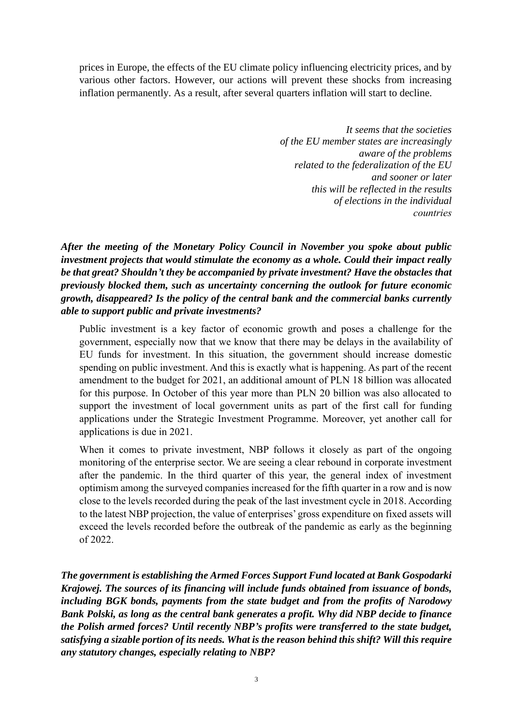prices in Europe, the effects of the EU climate policy influencing electricity prices, and by various other factors. However, our actions will prevent these shocks from increasing inflation permanently. As a result, after several quarters inflation will start to decline.

> *It seems that the societies of the EU member states are increasingly aware of the problems related to the federalization of the EU and sooner or later this will be reflected in the results of elections in the individual countries*

*After the meeting of the Monetary Policy Council in November you spoke about public investment projects that would stimulate the economy as a whole. Could their impact really be that great? Shouldn't they be accompanied by private investment? Have the obstacles that previously blocked them, such as uncertainty concerning the outlook for future economic growth, disappeared? Is the policy of the central bank and the commercial banks currently able to support public and private investments?*

Public investment is a key factor of economic growth and poses a challenge for the government, especially now that we know that there may be delays in the availability of EU funds for investment. In this situation, the government should increase domestic spending on public investment. And this is exactly what is happening. As part of the recent amendment to the budget for 2021, an additional amount of PLN 18 billion was allocated for this purpose. In October of this year more than PLN 20 billion was also allocated to support the investment of local government units as part of the first call for funding applications under the Strategic Investment Programme. Moreover, yet another call for applications is due in 2021.

When it comes to private investment, NBP follows it closely as part of the ongoing monitoring of the enterprise sector. We are seeing a clear rebound in corporate investment after the pandemic. In the third quarter of this year, the general index of investment optimism among the surveyed companies increased for the fifth quarter in a row and is now close to the levels recorded during the peak of the last investment cycle in 2018. According to the latest NBP projection, the value of enterprises' gross expenditure on fixed assets will exceed the levels recorded before the outbreak of the pandemic as early as the beginning of 2022.

*The government is establishing the Armed Forces Support Fund located at Bank Gospodarki Krajowej. The sources of its financing will include funds obtained from issuance of bonds, including BGK bonds, payments from the state budget and from the profits of Narodowy Bank Polski, as long as the central bank generates a profit. Why did NBP decide to finance the Polish armed forces? Until recently NBP's profits were transferred to the state budget, satisfying a sizable portion of its needs. What is the reason behind this shift? Will this require any statutory changes, especially relating to NBP?*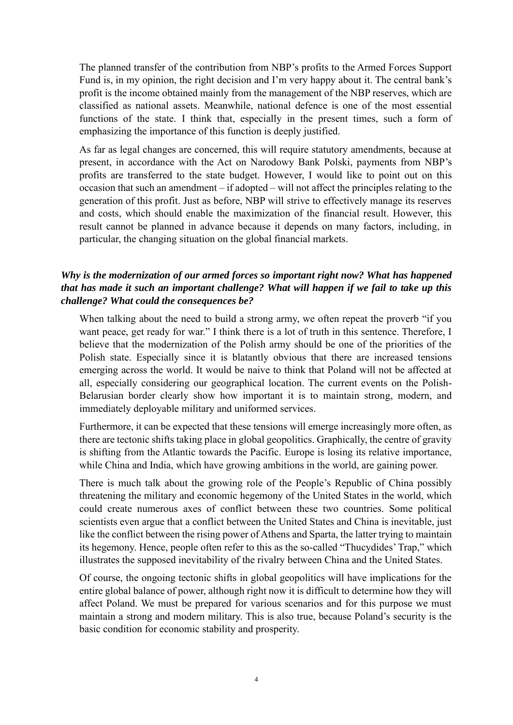The planned transfer of the contribution from NBP's profits to the Armed Forces Support Fund is, in my opinion, the right decision and I'm very happy about it. The central bank's profit is the income obtained mainly from the management of the NBP reserves, which are classified as national assets. Meanwhile, national defence is one of the most essential functions of the state. I think that, especially in the present times, such a form of emphasizing the importance of this function is deeply justified.

As far as legal changes are concerned, this will require statutory amendments, because at present, in accordance with the Act on Narodowy Bank Polski, payments from NBP's profits are transferred to the state budget. However, I would like to point out on this occasion that such an amendment – if adopted – will not affect the principles relating to the generation of this profit. Just as before, NBP will strive to effectively manage its reserves and costs, which should enable the maximization of the financial result. However, this result cannot be planned in advance because it depends on many factors, including, in particular, the changing situation on the global financial markets.

# *Why is the modernization of our armed forces so important right now? What has happened that has made it such an important challenge? What will happen if we fail to take up this challenge? What could the consequences be?*

When talking about the need to build a strong army, we often repeat the proverb "if you want peace, get ready for war." I think there is a lot of truth in this sentence. Therefore, I believe that the modernization of the Polish army should be one of the priorities of the Polish state. Especially since it is blatantly obvious that there are increased tensions emerging across the world. It would be naive to think that Poland will not be affected at all, especially considering our geographical location. The current events on the Polish-Belarusian border clearly show how important it is to maintain strong, modern, and immediately deployable military and uniformed services.

Furthermore, it can be expected that these tensions will emerge increasingly more often, as there are tectonic shifts taking place in global geopolitics. Graphically, the centre of gravity is shifting from the Atlantic towards the Pacific. Europe is losing its relative importance, while China and India, which have growing ambitions in the world, are gaining power.

There is much talk about the growing role of the People's Republic of China possibly threatening the military and economic hegemony of the United States in the world, which could create numerous axes of conflict between these two countries. Some political scientists even argue that a conflict between the United States and China is inevitable, just like the conflict between the rising power of Athens and Sparta, the latter trying to maintain its hegemony. Hence, people often refer to this as the so-called "Thucydides'Trap," which illustrates the supposed inevitability of the rivalry between China and the United States.

Of course, the ongoing tectonic shifts in global geopolitics will have implications for the entire global balance of power, although right now it is difficult to determine how they will affect Poland. We must be prepared for various scenarios and for this purpose we must maintain a strong and modern military. This is also true, because Poland's security is the basic condition for economic stability and prosperity.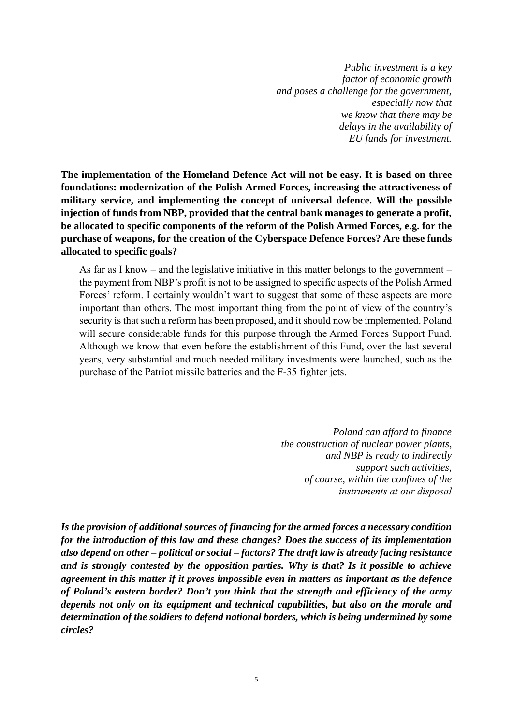*Public investment is a key factor of economic growth and poses a challenge for the government, especially now that we know that there may be delays in the availability of EU funds for investment.*

**The implementation of the Homeland Defence Act will not be easy. It is based on three foundations: modernization of the Polish Armed Forces, increasing the attractiveness of military service, and implementing the concept of universal defence. Will the possible injection of funds from NBP, provided that the central bank manages to generate a profit, be allocated to specific components of the reform of the Polish Armed Forces, e.g. for the purchase of weapons, for the creation of the Cyberspace Defence Forces? Are these funds allocated to specific goals?**

As far as I know – and the legislative initiative in this matter belongs to the government – the payment from NBP's profit is not to be assigned to specific aspects of the Polish Armed Forces' reform. I certainly wouldn't want to suggest that some of these aspects are more important than others. The most important thing from the point of view of the country's security is that such a reform has been proposed, and it should now be implemented. Poland will secure considerable funds for this purpose through the Armed Forces Support Fund. Although we know that even before the establishment of this Fund, over the last several years, very substantial and much needed military investments were launched, such as the purchase of the Patriot missile batteries and the F-35 fighter jets.

> *Poland can afford to finance the construction of nuclear power plants, and NBP is ready to indirectly support such activities, of course, within the confines of the instruments at our disposal*

*Is the provision of additional sources of financing for the armed forces a necessary condition for the introduction of this law and these changes? Does the success of its implementation also depend on other – political or social – factors? The draft law is already facing resistance and is strongly contested by the opposition parties. Why is that? Is it possible to achieve agreement in this matter if it proves impossible even in matters as important as the defence of Poland's eastern border? Don't you think that the strength and efficiency of the army depends not only on its equipment and technical capabilities, but also on the morale and determination of the soldiers to defend national borders, which is being undermined by some circles?*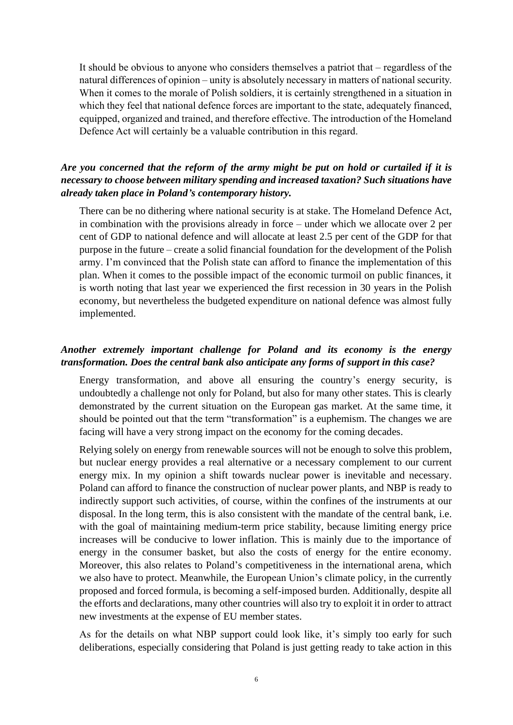It should be obvious to anyone who considers themselves a patriot that – regardless of the natural differences of opinion – unity is absolutely necessary in matters of national security. When it comes to the morale of Polish soldiers, it is certainly strengthened in a situation in which they feel that national defence forces are important to the state, adequately financed, equipped, organized and trained, and therefore effective. The introduction of the Homeland Defence Act will certainly be a valuable contribution in this regard.

#### *Are you concerned that the reform of the army might be put on hold or curtailed if it is necessary to choose between military spending and increased taxation? Such situations have already taken place in Poland's contemporary history.*

There can be no dithering where national security is at stake. The Homeland Defence Act, in combination with the provisions already in force – under which we allocate over 2 per cent of GDP to national defence and will allocate at least 2.5 per cent of the GDP for that purpose in the future – create a solid financial foundation for the development of the Polish army. I'm convinced that the Polish state can afford to finance the implementation of this plan. When it comes to the possible impact of the economic turmoil on public finances, it is worth noting that last year we experienced the first recession in 30 years in the Polish economy, but nevertheless the budgeted expenditure on national defence was almost fully implemented.

# *Another extremely important challenge for Poland and its economy is the energy transformation. Does the central bank also anticipate any forms of support in this case?*

Energy transformation, and above all ensuring the country's energy security, is undoubtedly a challenge not only for Poland, but also for many other states. This is clearly demonstrated by the current situation on the European gas market. At the same time, it should be pointed out that the term "transformation" is a euphemism. The changes we are facing will have a very strong impact on the economy for the coming decades.

Relying solely on energy from renewable sources will not be enough to solve this problem, but nuclear energy provides a real alternative or a necessary complement to our current energy mix. In my opinion a shift towards nuclear power is inevitable and necessary. Poland can afford to finance the construction of nuclear power plants, and NBP is ready to indirectly support such activities, of course, within the confines of the instruments at our disposal. In the long term, this is also consistent with the mandate of the central bank, i.e. with the goal of maintaining medium-term price stability, because limiting energy price increases will be conducive to lower inflation. This is mainly due to the importance of energy in the consumer basket, but also the costs of energy for the entire economy. Moreover, this also relates to Poland's competitiveness in the international arena, which we also have to protect. Meanwhile, the European Union's climate policy, in the currently proposed and forced formula, is becoming a self-imposed burden. Additionally, despite all the efforts and declarations, many other countries will also try to exploit it in order to attract new investments at the expense of EU member states.

As for the details on what NBP support could look like, it's simply too early for such deliberations, especially considering that Poland is just getting ready to take action in this